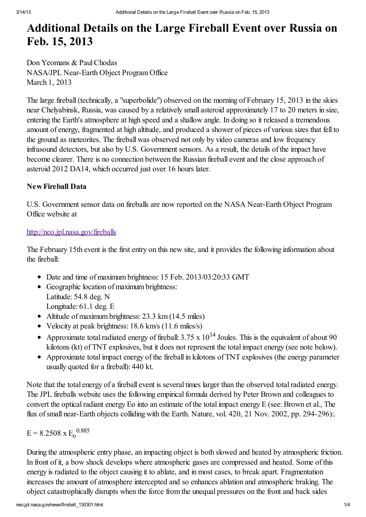# Additional Details on the Large Fireball Event over Russia on Feb. 15, 2013

Don Yeomans & Paul Chodas NASA/JPL Near-Earth Object Program Office March 1, 2013

The large fireball(technically, a "superbolide") observed on the morning of February 15, 2013 in the skies near Chelyabinsk, Russia, was caused by a relatively small asteroid approximately 17 to 20 meters in size, entering the Earth's atmosphere at high speed and a shallow angle. In doing so it released a tremendous amount of energy, fragmented at high altitude, and produced a shower of pieces of various sizes that fell to the ground as meteorites. The fireball was observed not only by video cameras and low frequency infrasound detectors, but also by U.S. Government sensors. As a result, the details of the impact have become clearer. There is no connection between the Russian fireball event and the close approach of asteroid 2012 DA14, which occurred just over 16 hours later.

# New Fireball Data

U.S. Government sensor data on fireballs are now reported on the NASA Near-Earth Object Program Office website at

# <http://neo.jpl.nasa.gov/fireballs>

The February 15th event is the first entry on this new site, and it provides the following information about the fireball:

- Date and time of maximum brightness: 15 Feb. 2013/03:20:33 GMT
- Geographic location of maximum brightness: Latitude: 54.8 deg. N Longitude: 61.1 deg. E
- Altitude of maximum brightness: 23.3 km (14.5 miles)
- Velocity at peak brightness: 18.6 km/s (11.6 miles/s)
- Approximate total radiated energy of fireball:  $3.75 \times 10^{14}$  Joules. This is the equivalent of about 90 kilotons (kt) of TNT explosives, but it does not represent the total impact energy (see note below).
- Approximate total impact energy of the fireball in kilotons of TNT explosives (the energy parameter usually quoted for a fireball): 440 kt.

Note that the total energy of a fireball event is several times larger than the observed total radiated energy. The JPL fireballs website uses the following empirical formula derived by Peter Brown and colleagues to convert the optical radiant energy Eo into an estimate of the total impact energy  $E$  (see: Brown et al., The flux of small near-Earth objects colliding with the Earth. Nature, vol. 420, 21 Nov. 2002, pp. 294-296):

$$
E = 8.2508 \times E_0^{0.885}
$$

During the atmospheric entry phase, an impacting object is both slowed and heated by atmospheric friction. In front of it, a bow shock develops where atmospheric gases are compressed and heated. Some of this energy is radiated to the object causing it to ablate, and in most cases, to break apart. Fragmentation increases the amount of atmosphere intercepted and so enhances ablation and atmospheric braking. The object catastrophically disrupts when the force from the unequal pressures on the front and back sides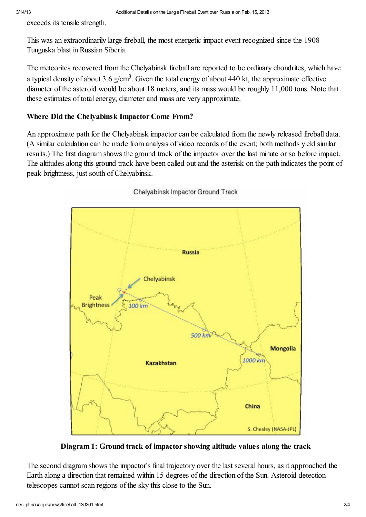exceeds its tensile strength.

This was an extraordinarily large fireball, the most energetic impact event recognized since the 1908 Tunguska blast in Russian Siberia.

The meteorites recovered from the Chelyabinsk fireball are reported to be ordinary chondrites, which have a typical density of about 3.6 g/cm<sup>3</sup>. Given the total energy of about 440 kt, the approximate effective diameter of the asteroid would be about 18 meters, and its mass would be roughly 11,000 tons. Note that these estimates of total energy, diameter and mass are very approximate.

## Where Did the Chelyabinsk Impactor Come From?

An approximate path for the Chelyabinsk impactor can be calculated from the newly released fireball data. (A similar calculation can be made from analysis of video records of the event; both methods yield similar results.) The first diagram shows the ground track of the impactor over the last minute or so before impact. The altitudes along this ground track have been called out and the asterisk on the path indicates the point of peak brightness, just south of Chelyabinsk.



## Chelyabinsk Impactor Ground Track

Diagram 1: Ground track of impactor showing altitude values along the track

The second diagram shows the impactor's final trajectory over the last several hours, as it approached the Earth along a direction that remained within 15 degrees of the direction of the Sun. Asteroid detection telescopes cannot scan regions of the sky this close to the Sun.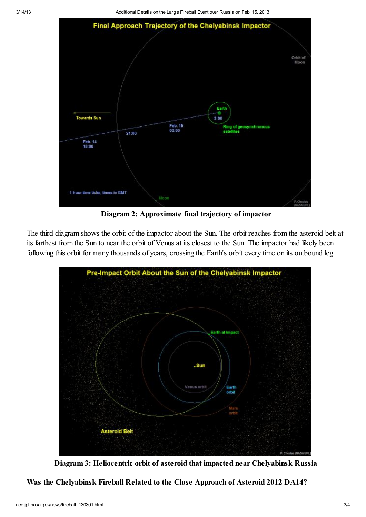3/14/13 Additional Details on the Large Fireball Event over Russia on Feb. 15, 2013



Diagram 2: Approximate final trajectory of impactor

The third diagram shows the orbit of the impactor about the Sun. The orbit reaches from the asteroid belt at its farthest from the Sun to near the orbit of Venus at its closest to the Sun. The impactor had likely been following this orbit for many thousands of years, crossing the Earth's orbit every time on its outbound leg.



Diagram 3: Heliocentric orbit of asteroid that impacted near Chelyabinsk Russia

Was the Chelyabinsk Fireball Related to the Close Approach of Asteroid 2012 DA14?